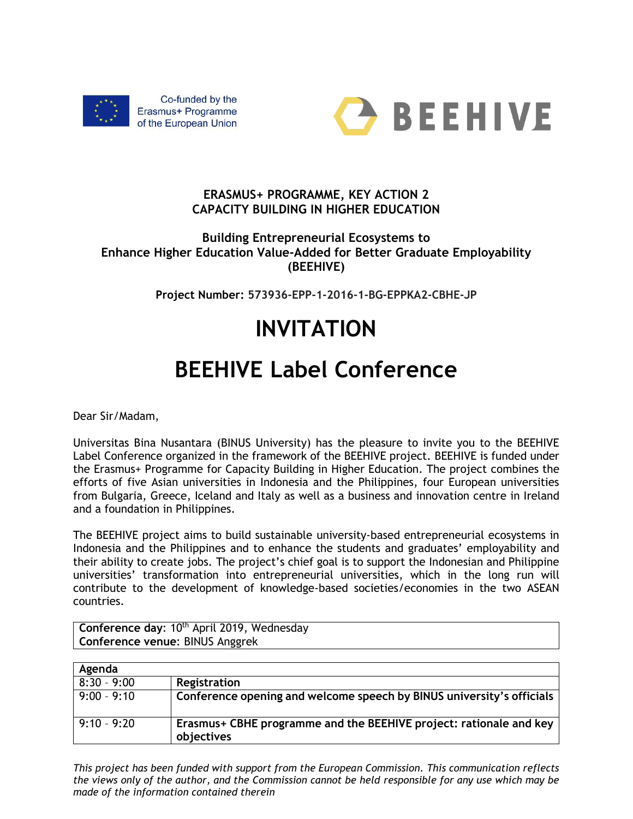



## **ERASMUS+ PROGRAMME, KEY ACTION 2 CAPACITY BUILDING IN HIGHER EDUCATION**

## **Building Entrepreneurial Ecosystems to Enhance Higher Education Value-Added for Better Graduate Employability (BEEHIVE)**

**Project Number: 573936-EPP-1-2016-1-BG-EPPKA2-CBHE-JP**

## **INVITATION**

## **BEEHIVE Label Conference**

Dear Sir/Madam,

Universitas Bina Nusantara (BINUS University) has the pleasure to invite you to the BEEHIVE Label Conference organized in the framework of the BEEHIVE project. BEEHIVE is funded under the Erasmus+ Programme for Capacity Building in Higher Education. The project combines the efforts of five Asian universities in Indonesia and the Philippines, four European universities from Bulgaria, Greece, Iceland and Italy as well as a business and innovation centre in Ireland and a foundation in Philippines.

The BEEHIVE project aims to build sustainable university-based entrepreneurial ecosystems in Indonesia and the Philippines and to enhance the students and graduates' employability and their ability to create jobs. The project's chief goal is to support the Indonesian and Philippine universities' transformation into entrepreneurial universities, which in the long run will contribute to the development of knowledge-based societies/economies in the two ASEAN countries.

Conference day: 10<sup>th</sup> April 2019, Wednesday **Conference venue**: BINUS Anggrek

| Agenda        |                                                                       |
|---------------|-----------------------------------------------------------------------|
| $8:30 - 9:00$ | Registration                                                          |
| $9:00 - 9:10$ | Conference opening and welcome speech by BINUS university's officials |
| $9:10 - 9:20$ | Erasmus + CBHE programme and the BEEHIVE project: rationale and key   |
|               | objectives                                                            |

*This project has been funded with support from the European Commission. This communication reflects the views only of the author, and the Commission cannot be held responsible for any use which may be made of the information contained therein*